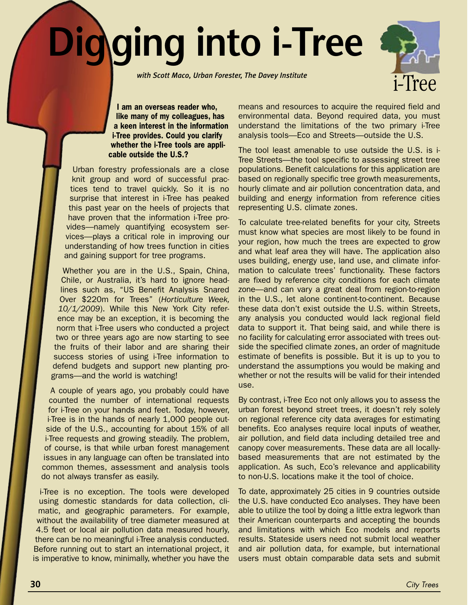## **Digging into i-Tree**

*with Scott Maco, Urban Forester, The Davey Institute* 



I am an overseas reader who, like many of my colleagues, has a keen interest in the information i-Tree provides. Could you clarify whether the i-Tree tools are applicable outside the U.S.?

Urban forestry professionals are a close knit group and word of successful practices tend to travel quickly. So it is no surprise that interest in i-Tree has peaked this past year on the heels of projects that have proven that the information i-Tree provides—namely quantifying ecosystem services—plays a critical role in improving our understanding of how trees function in cities and gaining support for tree programs.

Whether you are in the U.S., Spain, China, Chile, or Australia, it's hard to ignore headlines such as, "US Benefit Analysis Snared Over \$220m for Trees" (*Horticulture Week, 10/1/2009*). While this New York City reference may be an exception, it is becoming the norm that i-Tree users who conducted a project two or three years ago are now starting to see the fruits of their labor and are sharing their success stories of using i-Tree information to defend budgets and support new planting programs—and the world is watching!

A couple of years ago, you probably could have counted the number of international requests for i-Tree on your hands and feet. Today, however, i-Tree is in the hands of nearly 1,000 people outside of the U.S., accounting for about 15% of all i-Tree requests and growing steadily. The problem, of course, is that while urban forest management issues in any language can often be translated into common themes, assessment and analysis tools do not always transfer as easily.

i-Tree is no exception. The tools were developed using domestic standards for data collection, climatic, and geographic parameters. For example, without the availability of tree diameter measured at 4.5 feet or local air pollution data measured hourly, there can be no meaningful i-Tree analysis conducted. Before running out to start an international project, it is imperative to know, minimally, whether you have the

means and resources to acquire the required field and environmental data. Beyond required data, you must understand the limitations of the two primary i-Tree analysis tools—Eco and Streets—outside the U.S.

The tool least amenable to use outside the U.S. is i-Tree Streets—the tool specific to assessing street tree populations. Benefit calculations for this application are based on regionally specific tree growth measurements, hourly climate and air pollution concentration data, and building and energy information from reference cities representing U.S. climate zones.

To calculate tree-related benefits for your city, Streets must know what species are most likely to be found in your region, how much the trees are expected to grow and what leaf area they will have. The application also uses building, energy use, land use, and climate information to calculate trees' functionality. These factors are fixed by reference city conditions for each climate zone—and can vary a great deal from region-to-region in the U.S., let alone continent-to-continent. Because these data don't exist outside the U.S. within Streets, any analysis you conducted would lack regional field data to support it. That being said, and while there is no facility for calculating error associated with trees outside the specified climate zones, an order of magnitude estimate of benefits is possible. But it is up to you to understand the assumptions you would be making and whether or not the results will be valid for their intended use.

By contrast, i-Tree Eco not only allows you to assess the urban forest beyond street trees, it doesn't rely solely on regional reference city data averages for estimating benefits. Eco analyses require local inputs of weather, air pollution, and field data including detailed tree and canopy cover measurements. These data are all locallybased measurements that are not estimated by the application. As such, Eco's relevance and applicability to non-U.S. locations make it the tool of choice.

To date, approximately 25 cities in 9 countries outside the U.S. have conducted Eco analyses. They have been able to utilize the tool by doing a little extra legwork than their American counterparts and accepting the bounds and limitations with which Eco models and reports results. Stateside users need not submit local weather and air pollution data, for example, but international users must obtain comparable data sets and submit